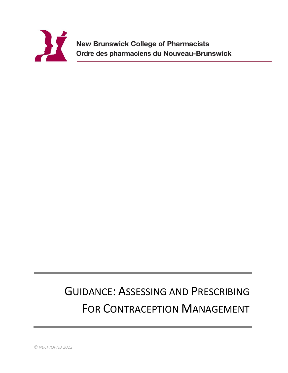

**New Brunswick College of Pharmacists** Ordre des pharmaciens du Nouveau-Brunswick

# GUIDANCE: ASSESSING AND PRESCRIBING FOR CONTRACEPTION MANAGEMENT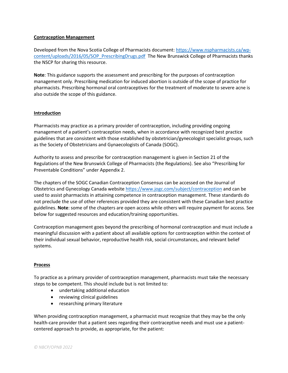### **Contraception Management**

Developed from the Nova Scotia College of Pharmacists document: [https://www.nspharmacists.ca/wp](https://www.nspharmacists.ca/wp-content/uploads/2016/05/SOP_PrescribingDrugs.pdf)[content/uploads/2016/05/SOP\\_PrescribingDrugs.pdf](https://www.nspharmacists.ca/wp-content/uploads/2016/05/SOP_PrescribingDrugs.pdf) The New Brunswick College of Pharmacists thanks the NSCP for sharing this resource.

**Note**: This guidance supports the assessment and prescribing for the purposes of contraception management only. Prescribing medication for induced abortion is outside of the scope of practice for pharmacists. Prescribing hormonal oral contraceptives for the treatment of moderate to severe acne is also outside the scope of this guidance.

#### **Introduction**

Pharmacists may practice as a primary provider of contraception, including providing ongoing management of a patient's contraception needs, when in accordance with recognized best practice guidelines that are consistent with those established by obstetrician/gynecologist specialist groups, such as the Society of Obstetricians and Gynaecologists of Canada (SOGC).

Authority to assess and prescribe for contraception management is given in Section 21 of the Regulations of the New Brunswick College of Pharmacists (the Regulations). See also "Prescribing for Preventable Conditions" under Appendix 2.

The chapters of the SOGC Canadian Contraception Consensus can be accessed on the Journal of Obstetrics and Gynecology Canada website<https://www.jogc.com/subject/contraception> and can be used to assist pharmacists in attaining competence in contraception management. These standards do not preclude the use of other references provided they are consistent with these Canadian best practice guidelines. **Note**: some of the chapters are open access while others will require payment for access. See below for suggested resources and education/training opportunities.

Contraception management goes beyond the prescribing of hormonal contraception and must include a meaningful discussion with a patient about all available options for contraception within the context of their individual sexual behavior, reproductive health risk, social circumstances, and relevant belief systems.

#### **Process**

To practice as a primary provider of contraception management, pharmacists must take the necessary steps to be competent. This should include but is not limited to:

- undertaking additional education
- reviewing clinical guidelines
- researching primary literature

When providing contraception management, a pharmacist must recognize that they may be the only health-care provider that a patient sees regarding their contraceptive needs and must use a patientcentered approach to provide, as appropriate, for the patient: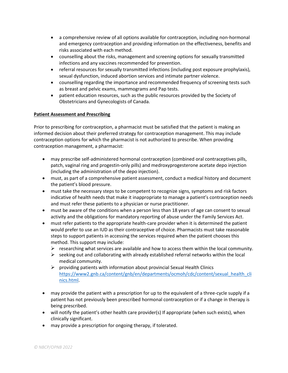- a comprehensive review of all options available for contraception, including non-hormonal and emergency contraception and providing information on the effectiveness, benefits and risks associated with each method.
- counselling about the risks, management and screening options for sexually transmitted infections and any vaccines recommended for prevention.
- referral resources for sexually transmitted infections (including post exposure prophylaxis), sexual dysfunction, induced abortion services and intimate partner violence.
- counselling regarding the importance and recommended frequency of screening tests such as breast and pelvic exams, mammograms and Pap tests.
- patient education resources, such as the public resources provided by the Society of Obstetricians and Gynecologists of Canada.

# **Patient Assessment and Prescribing**

Prior to prescribing for contraception, a pharmacist must be satisfied that the patient is making an informed decision about their preferred strategy for contraception management. This may include contraception options for which the pharmacist is not authorized to prescribe. When providing contraception management, a pharmacist:

- may prescribe self-administered hormonal contraception (combined oral contraceptives pills, patch, vaginal ring and progestin-only pills) and medroxyprogesterone acetate depo injection (including the administration of the depo injection).
- must, as part of a comprehensive patient assessment, conduct a medical history and document the patient's blood pressure.
- must take the necessary steps to be competent to recognize signs, symptoms and risk factors indicative of health needs that make it inappropriate to manage a patient's contraception needs and must refer these patients to a physician or nurse practitioner.
- must be aware of the conditions when a person less than 18 years of age can consent to sexual activity and the obligations for mandatory reporting of abuse under the Family Services Act.
- must refer patients to the appropriate health-care provider when it is determined the patient would prefer to use an IUD as their contraceptive of choice. Pharmacists must take reasonable steps to support patients in accessing the services required when the patient chooses this method. This support may include:
	- $\triangleright$  researching what services are available and how to access them within the local community.
	- $\triangleright$  seeking out and collaborating with already established referral networks within the local medical community.
	- $\triangleright$  providing patients with information about provincial Sexual Health Clinics [https://www2.gnb.ca/content/gnb/en/departments/ocmoh/cdc/content/sexual\\_health\\_cli](https://www2.gnb.ca/content/gnb/en/departments/ocmoh/cdc/content/sexual_health_clinics.html) [nics.html.](https://www2.gnb.ca/content/gnb/en/departments/ocmoh/cdc/content/sexual_health_clinics.html)
- may provide the patient with a prescription for up to the equivalent of a three-cycle supply if a patient has not previously been prescribed hormonal contraception or if a change in therapy is being prescribed.
- will notify the patient's other health care provider(s) If appropriate (when such exists), when clinically significant.
- may provide a prescription for ongoing therapy, if tolerated.